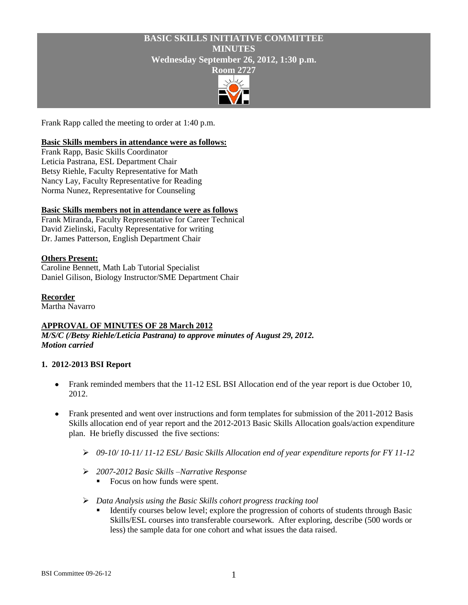# **BASIC SKILLS INITIATIVE COMMITTEE MINUTES Wednesday September 26, 2012, 1:30 p.m. Room 2727**



Frank Rapp called the meeting to order at 1:40 p.m.

### **Basic Skills members in attendance were as follows:**

Frank Rapp, Basic Skills Coordinator Leticia Pastrana, ESL Department Chair Betsy Riehle, Faculty Representative for Math Nancy Lay, Faculty Representative for Reading Norma Nunez, Representative for Counseling

# **Basic Skills members not in attendance were as follows**

Frank Miranda, Faculty Representative for Career Technical David Zielinski, Faculty Representative for writing Dr. James Patterson, English Department Chair

### **Others Present:**

Caroline Bennett, Math Lab Tutorial Specialist Daniel Gilison, Biology Instructor/SME Department Chair

### **Recorder**

Martha Navarro

# **APPROVAL OF MINUTES OF 28 March 2012**

*M/S/C (/Betsy Riehle/Leticia Pastrana) to approve minutes of August 29, 2012. Motion carried*

#### **1. 2012-2013 BSI Report**

- Frank reminded members that the 11-12 ESL BSI Allocation end of the year report is due October 10,  $\bullet$ 2012.
- Frank presented and went over instructions and form templates for submission of the 2011-2012 Basis Skills allocation end of year report and the 2012-2013 Basic Skills Allocation goals/action expenditure plan. He briefly discussed the five sections:
	- *09-10/ 10-11/ 11-12 ESL/ Basic Skills Allocation end of year expenditure reports for FY 11-12*
	- *2007-2012 Basic Skills –Narrative Response*
		- Focus on how funds were spent.
	- *Data Analysis using the Basic Skills cohort progress tracking tool*
		- Identify courses below level; explore the progression of cohorts of students through Basic Skills/ESL courses into transferable coursework. After exploring, describe (500 words or less) the sample data for one cohort and what issues the data raised.